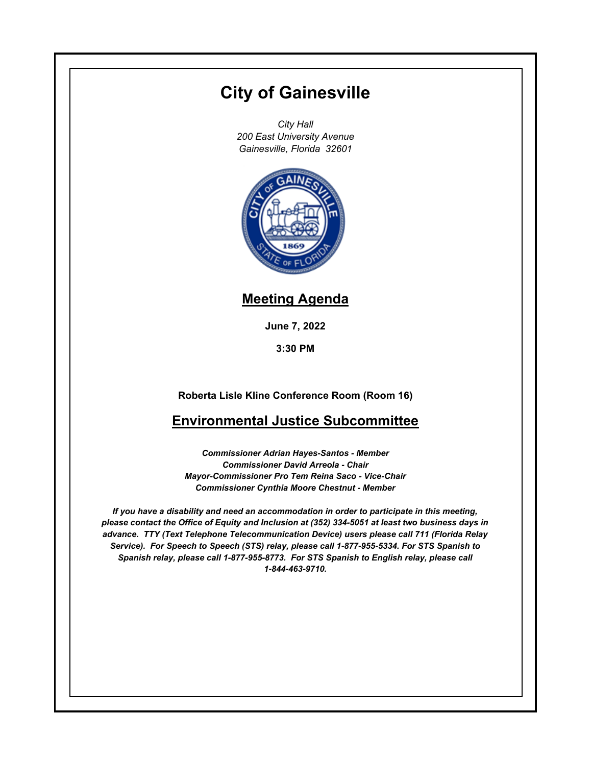# **City of Gainesville**

*City Hall 200 East University Avenue Gainesville, Florida 32601*



## **Meeting Agenda**

**June 7, 2022**

**3:30 PM**

**Roberta Lisle Kline Conference Room (Room 16)**

## **Environmental Justice Subcommittee**

*Commissioner Adrian Hayes-Santos - Member Commissioner David Arreola - Chair Mayor-Commissioner Pro Tem Reina Saco - Vice-Chair Commissioner Cynthia Moore Chestnut - Member*

*If you have a disability and need an accommodation in order to participate in this meeting, please contact the Office of Equity and Inclusion at (352) 334-5051 at least two business days in advance. TTY (Text Telephone Telecommunication Device) users please call 711 (Florida Relay Service). For Speech to Speech (STS) relay, please call 1-877-955-5334. For STS Spanish to Spanish relay, please call 1-877-955-8773. For STS Spanish to English relay, please call 1-844-463-9710.*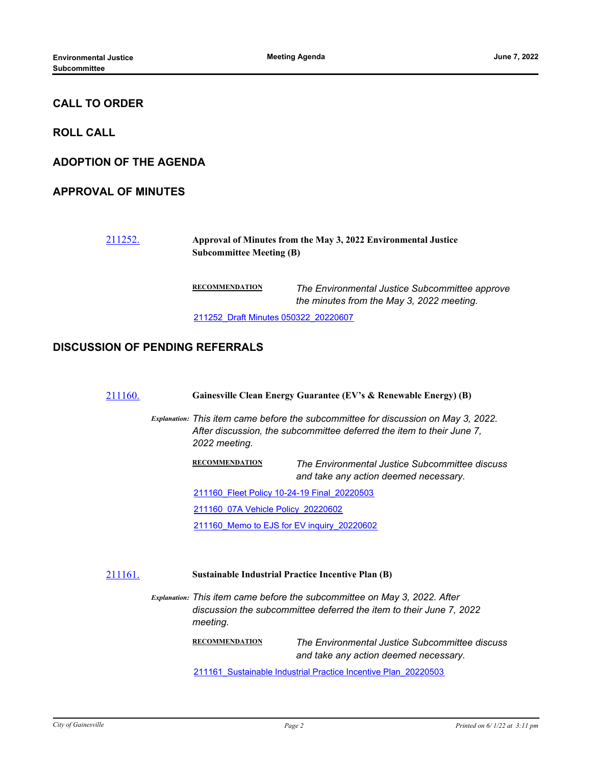### **CALL TO ORDER**

**ROLL CALL**

**ADOPTION OF THE AGENDA**

#### **APPROVAL OF MINUTES**

#### [211252.](http://gainesville.legistar.com/gateway.aspx?m=l&id=/matter.aspx?key=34034) **Approval of Minutes from the May 3, 2022 Environmental Justice Subcommittee Meeting (B)**

**RECOMMENDATION** *The Environmental Justice Subcommittee approve the minutes from the May 3, 2022 meeting.* [211252\\_Draft Minutes 050322\\_20220607](http://Gainesville.legistar.com/gateway.aspx?M=F&ID=6bf8c141-20ef-429a-ad4a-2bd9b287d762.pdf)

#### **DISCUSSION OF PENDING REFERRALS**

[211160.](http://gainesville.legistar.com/gateway.aspx?m=l&id=/matter.aspx?key=33942) **Gainesville Clean Energy Guarantee (EV's & Renewable Energy) (B)**

*Explanation: This item came before the subcommittee for discussion on May 3, 2022. After discussion, the subcommittee deferred the item to their June 7, 2022 meeting.*

> **RECOMMENDATION** *The Environmental Justice Subcommittee discuss and take any action deemed necessary.*

[211160\\_Fleet Policy 10-24-19 Final\\_20220503](http://Gainesville.legistar.com/gateway.aspx?M=F&ID=ddc1ab23-cea0-4d54-a059-005259d18ec3.pdf)

[211160\\_07A Vehicle Policy\\_20220602](http://Gainesville.legistar.com/gateway.aspx?M=F&ID=71cd2a20-baa8-4a49-8bdc-3aba331cc778.pdf)

211160 Memo to EJS for EV inquiry 20220602

#### [211161.](http://gainesville.legistar.com/gateway.aspx?m=l&id=/matter.aspx?key=33943) **Sustainable Industrial Practice Incentive Plan (B)**

*Explanation: This item came before the subcommittee on May 3, 2022. After discussion the subcommittee deferred the item to their June 7, 2022 meeting.*

> **RECOMMENDATION** *The Environmental Justice Subcommittee discuss and take any action deemed necessary.*

211161 Sustainable Industrial Practice Incentive Plan\_20220503